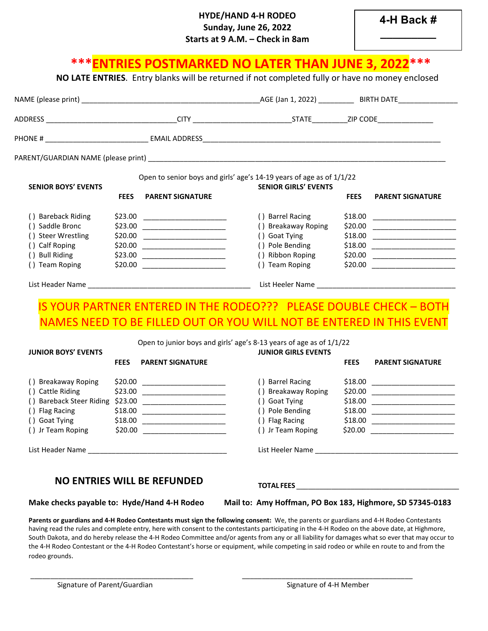## **HYDE/HAND 4-H RODEO Sunday, June 26, 2022 Starts at 9 A.M. – Check in 8am**

# **\*\*\*ENTRIES POSTMARKED NO LATER THAN JUNE 3, 2022\*\*\* NO LATE ENTRIES**. Entry blanks will be returned if not completed fully or have no money enclosed

| <b>SENIOR BOYS' EVENTS</b>         | Open to senior boys and girls' age's 14-19 years of age as of 1/1/22 |                                   |                                                                      |             |                                                                                                                         |
|------------------------------------|----------------------------------------------------------------------|-----------------------------------|----------------------------------------------------------------------|-------------|-------------------------------------------------------------------------------------------------------------------------|
|                                    | <b>FEES</b>                                                          | <b>PARENT SIGNATURE</b>           | <b>SENIOR GIRLS' EVENTS</b>                                          | <b>FEES</b> | <b>PARENT SIGNATURE</b>                                                                                                 |
| () Bareback Riding                 | \$23.00                                                              |                                   | () Barrel Racing                                                     | \$18.00     |                                                                                                                         |
| () Saddle Bronc                    |                                                                      |                                   | () Breakaway Roping                                                  | \$20.00     |                                                                                                                         |
| () Steer Wrestling                 | \$20.00                                                              |                                   | () Goat Tying                                                        | \$18.00     | <u> 1989 - Andrea Albert III, martin a bhaile an t-Iomraidh an t-Iomraidh an t-Iomraidh an t-Iomraidh an t-Iomraidh</u> |
| () Calf Roping                     |                                                                      | $$20.00$ ______________________   | () Pole Bending                                                      | \$18.00     |                                                                                                                         |
| () Bull Riding                     | \$23.00                                                              |                                   | () Ribbon Roping                                                     | \$20.00     |                                                                                                                         |
| () Team Roping                     |                                                                      | $$20.00$ ________________________ | () Team Roping                                                       | \$20.00     | <u> 1986 - Jan Barbara, manazarta b</u>                                                                                 |
|                                    |                                                                      |                                   |                                                                      |             |                                                                                                                         |
|                                    |                                                                      |                                   | IS YOUR PARTNER ENTERED IN THE RODEO??? PLEASE DOUBLE CHECK - BOTH   |             |                                                                                                                         |
|                                    |                                                                      |                                   | NAMES NEED TO BE FILLED OUT OR YOU WILL NOT BE ENTERED IN THIS EVENT |             |                                                                                                                         |
|                                    |                                                                      |                                   | Open to junior boys and girls' age's 8-13 years of age as of 1/1/22  |             |                                                                                                                         |
| <b>JUNIOR BOYS' EVENTS</b>         |                                                                      |                                   | <b>JUNIOR GIRLS EVENTS</b>                                           |             |                                                                                                                         |
|                                    | <b>FEES</b>                                                          | <b>PARENT SIGNATURE</b>           |                                                                      | <b>FEES</b> | <b>PARENT SIGNATURE</b>                                                                                                 |
| () Breakaway Roping                |                                                                      |                                   | () Barrel Racing                                                     |             |                                                                                                                         |
|                                    |                                                                      |                                   | () Breakaway Roping                                                  |             |                                                                                                                         |
|                                    |                                                                      |                                   |                                                                      |             |                                                                                                                         |
| () Cattle Riding                   |                                                                      |                                   |                                                                      |             |                                                                                                                         |
|                                    |                                                                      |                                   | () Goat Tying                                                        |             |                                                                                                                         |
| () Flag Racing                     |                                                                      |                                   | () Pole Bending                                                      |             |                                                                                                                         |
| () Goat Tying<br>() Jr Team Roping |                                                                      | $$18.00$ _______________________  | () Flag Racing<br>() Jr Team Roping                                  |             | $$20.00$ ________________________                                                                                       |

## **NO ENTRIES WILL BE REFUNDED**

**Make checks payable to: Hyde/Hand 4-H Rodeo Mail to: Amy Hoffman, PO Box 183, Highmore, SD 57345-0183**

**Parents or guardians and 4-H Rodeo Contestants must sign the following consent:** We, the parents or guardians and 4-H Rodeo Contestants having read the rules and complete entry, here with consent to the contestants participating in the 4-H Rodeo on the above date, at Highmore, South Dakota, and do hereby release the 4-H Rodeo Committee and/or agents from any or all liability for damages what so ever that may occur to the 4-H Rodeo Contestant or the 4-H Rodeo Contestant's horse or equipment, while competing in said rodeo or while en route to and from the rodeo grounds.

\_\_\_\_\_\_\_\_\_\_\_\_\_\_\_\_\_\_\_\_\_\_\_\_\_\_\_\_\_\_\_\_\_\_\_\_\_\_\_\_\_ \_\_\_\_\_\_\_\_\_\_\_\_\_\_\_\_\_\_\_\_\_\_\_\_\_\_\_\_\_\_\_\_\_\_\_\_\_\_\_\_\_\_\_

**TOTAL FEES** \_\_\_\_\_\_\_\_\_\_\_\_\_\_\_\_\_\_\_\_\_\_\_\_\_\_\_\_\_\_\_\_\_\_\_\_\_\_\_\_\_\_